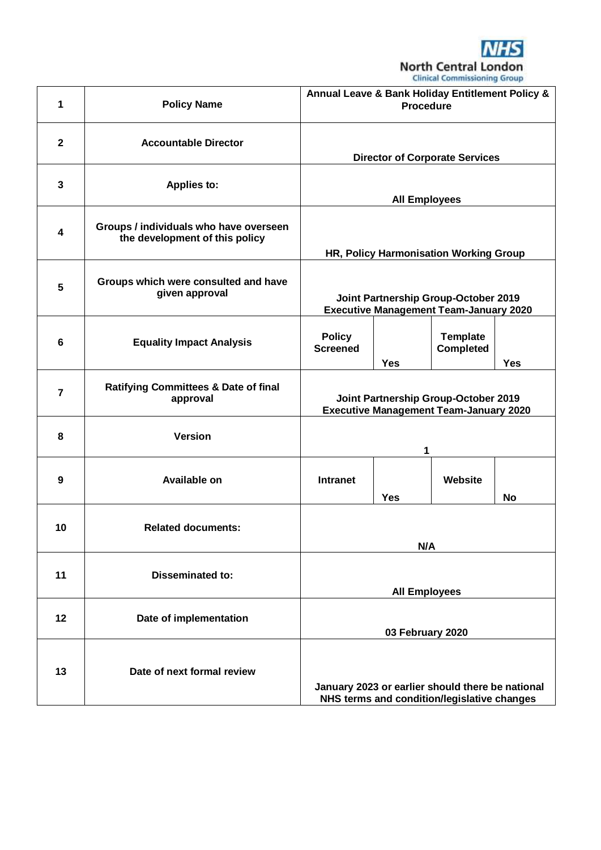

| 1                       | <b>Policy Name</b>                                                       | Annual Leave & Bank Holiday Entitlement Policy &<br><b>Procedure</b>                            |            |                                     |            |  |
|-------------------------|--------------------------------------------------------------------------|-------------------------------------------------------------------------------------------------|------------|-------------------------------------|------------|--|
| $\mathbf{2}$            | <b>Accountable Director</b>                                              | <b>Director of Corporate Services</b>                                                           |            |                                     |            |  |
| $\mathbf{3}$            | <b>Applies to:</b>                                                       | <b>All Employees</b>                                                                            |            |                                     |            |  |
| $\overline{\mathbf{4}}$ | Groups / individuals who have overseen<br>the development of this policy | HR, Policy Harmonisation Working Group                                                          |            |                                     |            |  |
| 5                       | Groups which were consulted and have<br>given approval                   | Joint Partnership Group-October 2019<br><b>Executive Management Team-January 2020</b>           |            |                                     |            |  |
| 6                       | <b>Equality Impact Analysis</b>                                          | <b>Policy</b><br><b>Screened</b>                                                                | <b>Yes</b> | <b>Template</b><br><b>Completed</b> | <b>Yes</b> |  |
| $\overline{7}$          | <b>Ratifying Committees &amp; Date of final</b><br>approval              | Joint Partnership Group-October 2019<br><b>Executive Management Team-January 2020</b>           |            |                                     |            |  |
| 8                       | <b>Version</b>                                                           |                                                                                                 | 1          |                                     |            |  |
| 9                       | <b>Available on</b>                                                      | <b>Intranet</b>                                                                                 | <b>Yes</b> | Website                             | <b>No</b>  |  |
| 10                      | <b>Related documents:</b>                                                | N/A                                                                                             |            |                                     |            |  |
| 11                      | <b>Disseminated to:</b>                                                  | <b>All Employees</b>                                                                            |            |                                     |            |  |
| 12                      | Date of implementation                                                   | 03 February 2020                                                                                |            |                                     |            |  |
| 13                      | Date of next formal review                                               | January 2023 or earlier should there be national<br>NHS terms and condition/legislative changes |            |                                     |            |  |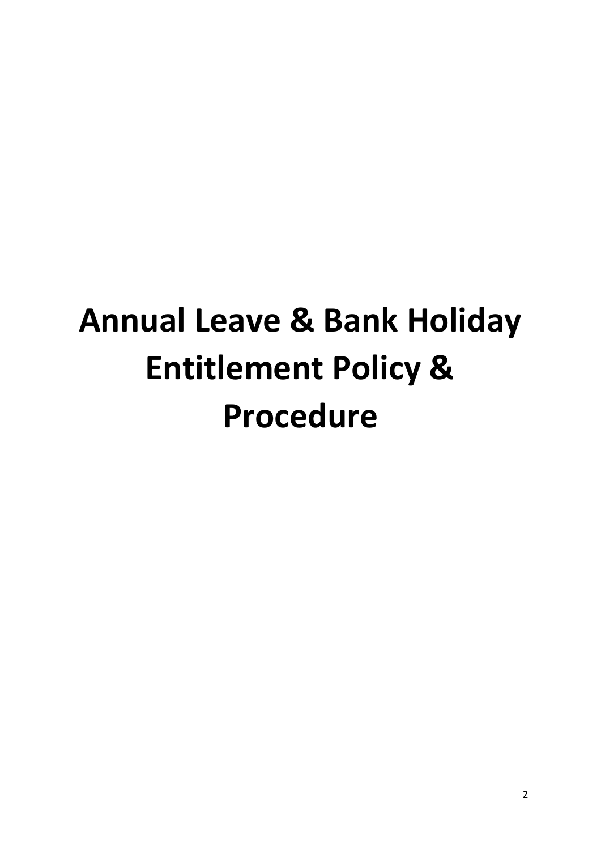# **Annual Leave & Bank Holiday Entitlement Policy & Procedure**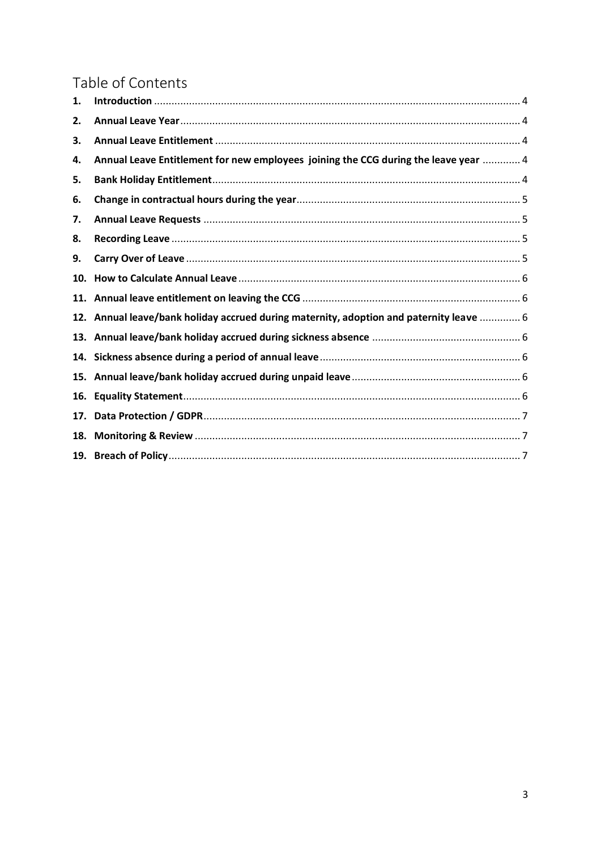# Table of Contents

| 1.  |                                                                                     |  |
|-----|-------------------------------------------------------------------------------------|--|
| 2.  |                                                                                     |  |
| 3.  |                                                                                     |  |
| 4.  | Annual Leave Entitlement for new employees joining the CCG during the leave year  4 |  |
| 5.  |                                                                                     |  |
| 6.  |                                                                                     |  |
| 7.  |                                                                                     |  |
| 8.  |                                                                                     |  |
| 9.  |                                                                                     |  |
| 10. |                                                                                     |  |
| 11. |                                                                                     |  |
| 12. | Annual leave/bank holiday accrued during maternity, adoption and paternity leave  6 |  |
| 13. |                                                                                     |  |
| 14. |                                                                                     |  |
| 15. |                                                                                     |  |
| 16. |                                                                                     |  |
| 17. |                                                                                     |  |
| 18. |                                                                                     |  |
| 19. |                                                                                     |  |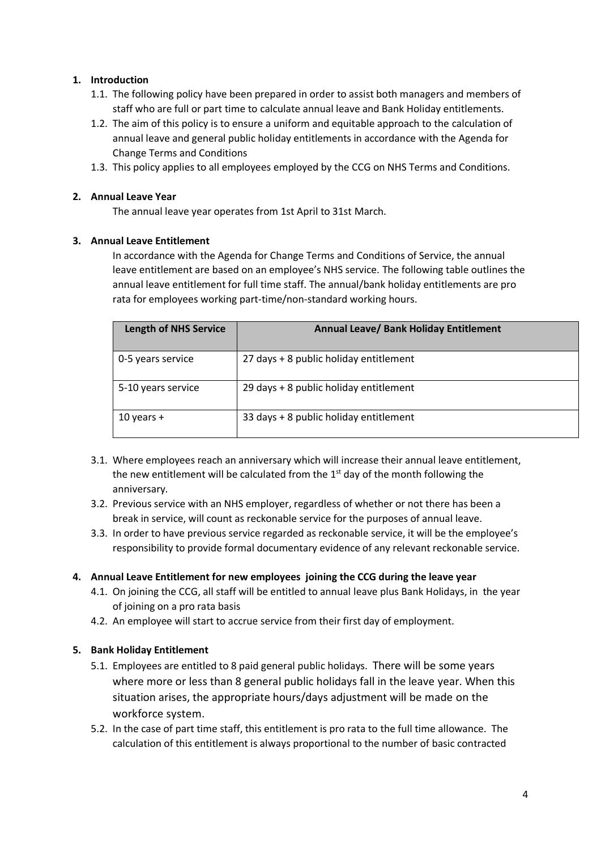# <span id="page-3-0"></span>**1. Introduction**

- 1.1. The following policy have been prepared in order to assist both managers and members of staff who are full or part time to calculate annual leave and Bank Holiday entitlements.
- 1.2. The aim of this policy is to ensure a uniform and equitable approach to the calculation of annual leave and general public holiday entitlements in accordance with the Agenda for Change Terms and Conditions
- 1.3. This policy applies to all employees employed by the CCG on NHS Terms and Conditions.

# <span id="page-3-1"></span>**2. Annual Leave Year**

The annual leave year operates from 1st April to 31st March.

# <span id="page-3-2"></span>**3. Annual Leave Entitlement**

In accordance with the Agenda for Change Terms and Conditions of Service, the annual leave entitlement are based on an employee's NHS service. The following table outlines the annual leave entitlement for full time staff. The annual/bank holiday entitlements are pro rata for employees working part-time/non-standard working hours.

| <b>Length of NHS Service</b> | Annual Leave/ Bank Holiday Entitlement |
|------------------------------|----------------------------------------|
| 0-5 years service            | 27 days + 8 public holiday entitlement |
| 5-10 years service           | 29 days + 8 public holiday entitlement |
| 10 years $+$                 | 33 days + 8 public holiday entitlement |

- 3.1. Where employees reach an anniversary which will increase their annual leave entitlement, the new entitlement will be calculated from the  $1<sup>st</sup>$  day of the month following the anniversary.
- 3.2. Previous service with an NHS employer, regardless of whether or not there has been a break in service, will count as reckonable service for the purposes of annual leave.
- 3.3. In order to have previous service regarded as reckonable service, it will be the employee's responsibility to provide formal documentary evidence of any relevant reckonable service.

# <span id="page-3-3"></span>**4. Annual Leave Entitlement for new employees joining the CCG during the leave year**

- 4.1. On joining the CCG, all staff will be entitled to annual leave plus Bank Holidays, in the year of joining on a pro rata basis
- 4.2. An employee will start to accrue service from their first day of employment.

# <span id="page-3-4"></span>**5. Bank Holiday Entitlement**

- 5.1. Employees are entitled to 8 paid general public holidays. There will be some years where more or less than 8 general public holidays fall in the leave year. When this situation arises, the appropriate hours/days adjustment will be made on the workforce system.
- 5.2. In the case of part time staff, this entitlement is pro rata to the full time allowance. The calculation of this entitlement is always proportional to the number of basic contracted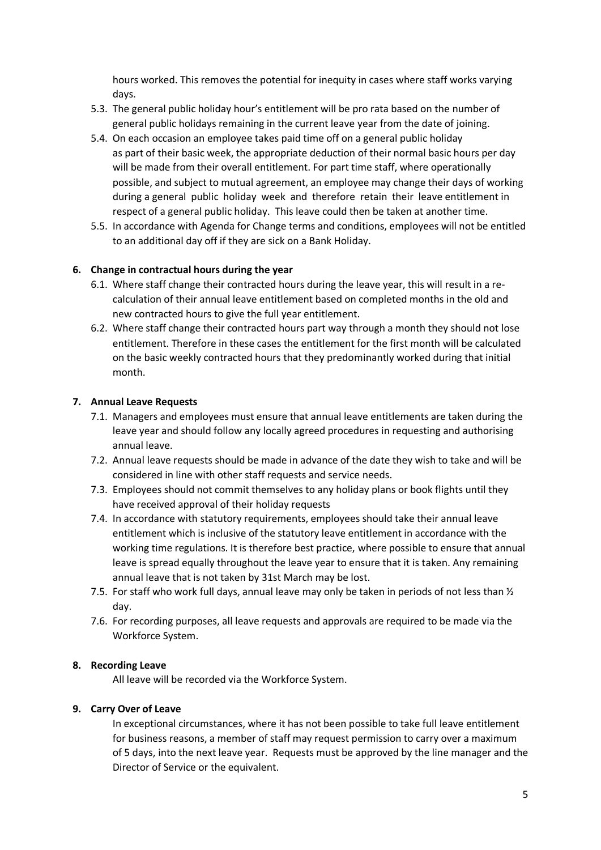hours worked. This removes the potential for inequity in cases where staff works varying days.

- 5.3. The general public holiday hour's entitlement will be pro rata based on the number of general public holidays remaining in the current leave year from the date of joining.
- 5.4. On each occasion an employee takes paid time off on a general public holiday as part of their basic week, the appropriate deduction of their normal basic hours per day will be made from their overall entitlement. For part time staff, where operationally possible, and subject to mutual agreement, an employee may change their days of working during a general public holiday week and therefore retain their leave entitlement in respect of a general public holiday. This leave could then be taken at another time.
- 5.5. In accordance with Agenda for Change terms and conditions, employees will not be entitled to an additional day off if they are sick on a Bank Holiday.

# <span id="page-4-0"></span>**6. Change in contractual hours during the year**

- 6.1. Where staff change their contracted hours during the leave year, this will result in a recalculation of their annual leave entitlement based on completed months in the old and new contracted hours to give the full year entitlement.
- 6.2. Where staff change their contracted hours part way through a month they should not lose entitlement. Therefore in these cases the entitlement for the first month will be calculated on the basic weekly contracted hours that they predominantly worked during that initial month.

# <span id="page-4-1"></span>**7. Annual Leave Requests**

- 7.1. Managers and employees must ensure that annual leave entitlements are taken during the leave year and should follow any locally agreed procedures in requesting and authorising annual leave.
- 7.2. Annual leave requests should be made in advance of the date they wish to take and will be considered in line with other staff requests and service needs.
- 7.3. Employees should not commit themselves to any holiday plans or book flights until they have received approval of their holiday requests
- 7.4. In accordance with statutory requirements, employees should take their annual leave entitlement which is inclusive of the statutory leave entitlement in accordance with the working time regulations. It is therefore best practice, where possible to ensure that annual leave is spread equally throughout the leave year to ensure that it is taken. Any remaining annual leave that is not taken by 31st March may be lost.
- 7.5. For staff who work full days, annual leave may only be taken in periods of not less than  $\frac{1}{2}$ day.
- 7.6. For recording purposes, all leave requests and approvals are required to be made via the Workforce System.

#### <span id="page-4-2"></span>**8. Recording Leave**

All leave will be recorded via the Workforce System.

# <span id="page-4-3"></span>**9. Carry Over of Leave**

In exceptional circumstances, where it has not been possible to take full leave entitlement for business reasons, a member of staff may request permission to carry over a maximum of 5 days, into the next leave year. Requests must be approved by the line manager and the Director of Service or the equivalent.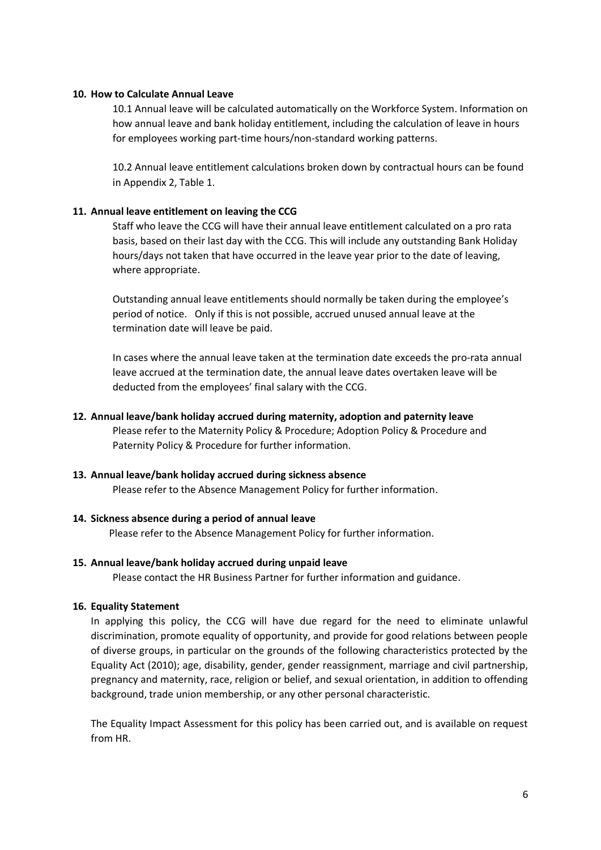#### <span id="page-5-0"></span>**10. How to Calculate Annual Leave**

10.1 Annual leave will be calculated automatically on the Workforce System. Information on how annual leave and bank holiday entitlement, including the calculation of leave in hours for employees working part-time hours/non-standard working patterns.

10.2 Annual leave entitlement calculations broken down by contractual hours can be found in Appendix 2, Table 1.

#### <span id="page-5-1"></span>**11. Annual leave entitlement on leaving the CCG**

Staff who leave the CCG will have their annual leave entitlement calculated on a pro rata basis, based on their last day with the CCG. This will include any outstanding Bank Holiday hours/days not taken that have occurred in the leave year prior to the date of leaving, where appropriate.

Outstanding annual leave entitlements should normally be taken during the employee's period of notice. Only if this is not possible, accrued unused annual leave at the termination date will leave be paid.

In cases where the annual leave taken at the termination date exceeds the pro-rata annual leave accrued at the termination date, the annual leave dates overtaken leave will be deducted from the employees' final salary with the CCG.

#### <span id="page-5-2"></span>**12. Annual leave/bank holiday accrued during maternity, adoption and paternity leave**

Please refer to the Maternity Policy & Procedure; Adoption Policy & Procedure and Paternity Policy & Procedure for further information.

#### <span id="page-5-3"></span>**13. Annual leave/bank holiday accrued during sickness absence**

Please refer to the Absence Management Policy for further information.

#### <span id="page-5-4"></span>**14. Sickness absence during a period of annual leave**

Please refer to the Absence Management Policy for further information.

#### <span id="page-5-5"></span>**15. Annual leave/bank holiday accrued during unpaid leave**

Please contact the HR Business Partner for further information and guidance.

#### <span id="page-5-6"></span>**16. Equality Statement**

In applying this policy, the CCG will have due regard for the need to eliminate unlawful discrimination, promote equality of opportunity, and provide for good relations between people of diverse groups, in particular on the grounds of the following characteristics protected by the Equality Act (2010); age, disability, gender, gender reassignment, marriage and civil partnership, pregnancy and maternity, race, religion or belief, and sexual orientation, in addition to offending background, trade union membership, or any other personal characteristic.

The Equality Impact Assessment for this policy has been carried out, and is available on request from HR.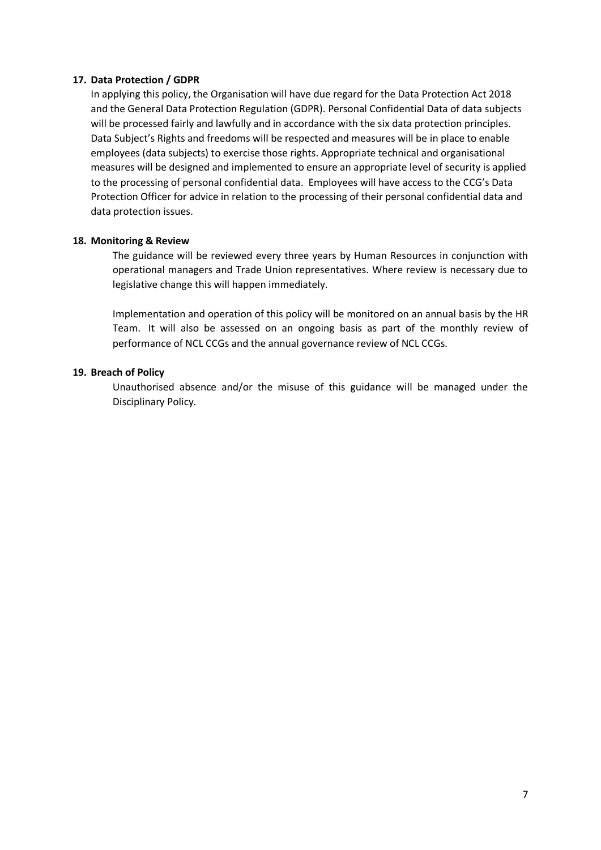#### <span id="page-6-0"></span>**17. Data Protection / GDPR**

In applying this policy, the Organisation will have due regard for the Data Protection Act 2018 and the General Data Protection Regulation (GDPR). Personal Confidential Data of data subjects will be processed fairly and lawfully and in accordance with the six data protection principles. Data Subject's Rights and freedoms will be respected and measures will be in place to enable employees (data subjects) to exercise those rights. Appropriate technical and organisational measures will be designed and implemented to ensure an appropriate level of security is applied to the processing of personal confidential data. Employees will have access to the CCG's Data Protection Officer for advice in relation to the processing of their personal confidential data and data protection issues.

# <span id="page-6-1"></span>**18. Monitoring & Review**

The guidance will be reviewed every three years by Human Resources in conjunction with operational managers and Trade Union representatives. Where review is necessary due to legislative change this will happen immediately.

Implementation and operation of this policy will be monitored on an annual basis by the HR Team. It will also be assessed on an ongoing basis as part of the monthly review of performance of NCL CCGs and the annual governance review of NCL CCGs.

# <span id="page-6-2"></span>**19. Breach of Policy**

Unauthorised absence and/or the misuse of this guidance will be managed under the Disciplinary Policy.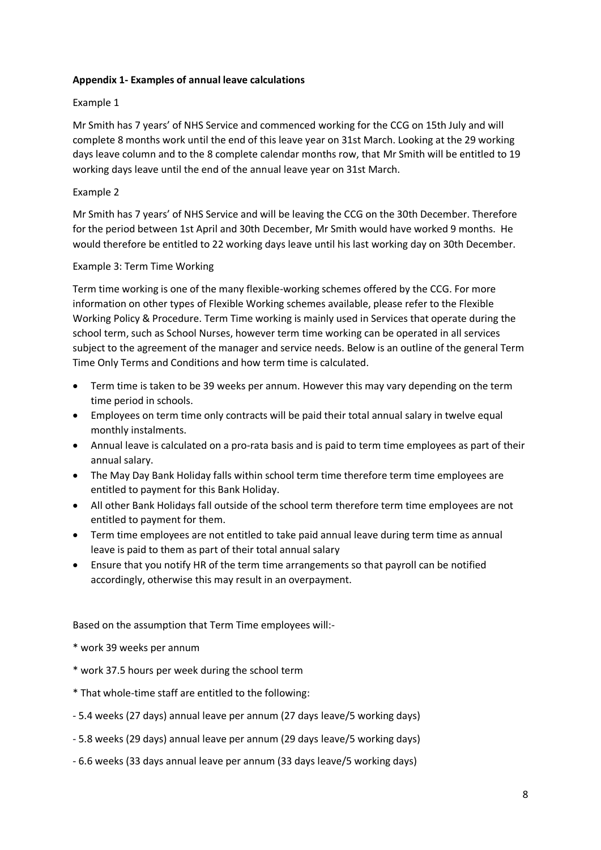# **Appendix 1- Examples of annual leave calculations**

# Example 1

Mr Smith has 7 years' of NHS Service and commenced working for the CCG on 15th July and will complete 8 months work until the end of this leave year on 31st March. Looking at the 29 working days leave column and to the 8 complete calendar months row, that Mr Smith will be entitled to 19 working days leave until the end of the annual leave year on 31st March.

# Example 2

Mr Smith has 7 years' of NHS Service and will be leaving the CCG on the 30th December. Therefore for the period between 1st April and 30th December, Mr Smith would have worked 9 months. He would therefore be entitled to 22 working days leave until his last working day on 30th December.

# Example 3: Term Time Working

Term time working is one of the many flexible-working schemes offered by the CCG. For more information on other types of Flexible Working schemes available, please refer to the Flexible Working Policy & Procedure. Term Time working is mainly used in Services that operate during the school term, such as School Nurses, however term time working can be operated in all services subject to the agreement of the manager and service needs. Below is an outline of the general Term Time Only Terms and Conditions and how term time is calculated.

- Term time is taken to be 39 weeks per annum. However this may vary depending on the term time period in schools.
- Employees on term time only contracts will be paid their total annual salary in twelve equal monthly instalments.
- Annual leave is calculated on a pro-rata basis and is paid to term time employees as part of their annual salary.
- The May Day Bank Holiday falls within school term time therefore term time employees are entitled to payment for this Bank Holiday.
- All other Bank Holidays fall outside of the school term therefore term time employees are not entitled to payment for them.
- Term time employees are not entitled to take paid annual leave during term time as annual leave is paid to them as part of their total annual salary
- Ensure that you notify HR of the term time arrangements so that payroll can be notified accordingly, otherwise this may result in an overpayment.

Based on the assumption that Term Time employees will:-

- \* work 39 weeks per annum
- \* work 37.5 hours per week during the school term
- \* That whole-time staff are entitled to the following:
- 5.4 weeks (27 days) annual leave per annum (27 days leave/5 working days)
- 5.8 weeks (29 days) annual leave per annum (29 days leave/5 working days)
- 6.6 weeks (33 days annual leave per annum (33 days leave/5 working days)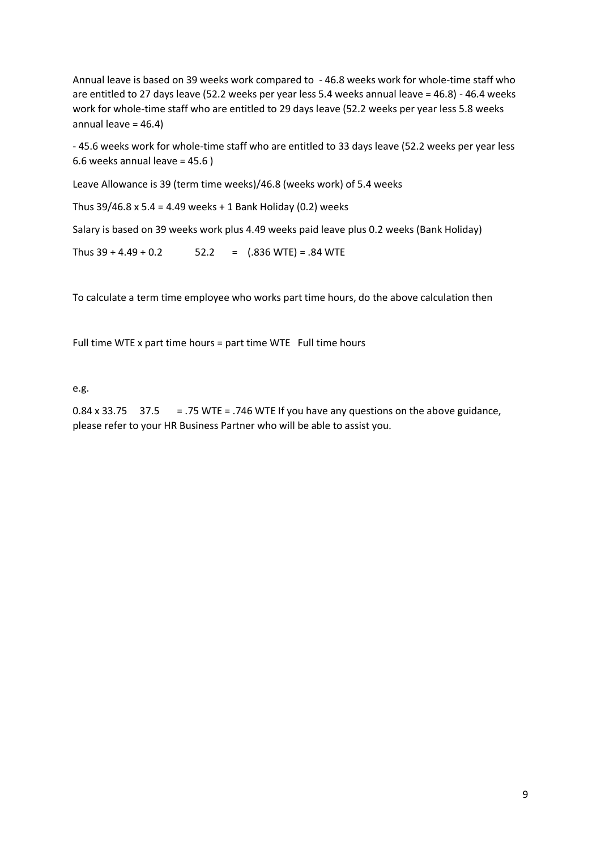Annual leave is based on 39 weeks work compared to - 46.8 weeks work for whole-time staff who are entitled to 27 days leave (52.2 weeks per year less 5.4 weeks annual leave = 46.8) - 46.4 weeks work for whole-time staff who are entitled to 29 days leave (52.2 weeks per year less 5.8 weeks annual leave = 46.4)

- 45.6 weeks work for whole-time staff who are entitled to 33 days leave (52.2 weeks per year less 6.6 weeks annual leave = 45.6 )

Leave Allowance is 39 (term time weeks)/46.8 (weeks work) of 5.4 weeks

Thus 39/46.8 x 5.4 = 4.49 weeks + 1 Bank Holiday (0.2) weeks

Salary is based on 39 weeks work plus 4.49 weeks paid leave plus 0.2 weeks (Bank Holiday)

Thus  $39 + 4.49 + 0.2$  52.2 = (.836 WTE) = .84 WTE

To calculate a term time employee who works part time hours, do the above calculation then

Full time WTE x part time hours = part time WTE Full time hours

e.g.

0.84 x 33.75  $37.5 = 0.75$  WTE = .746 WTE If you have any questions on the above guidance, please refer to your HR Business Partner who will be able to assist you.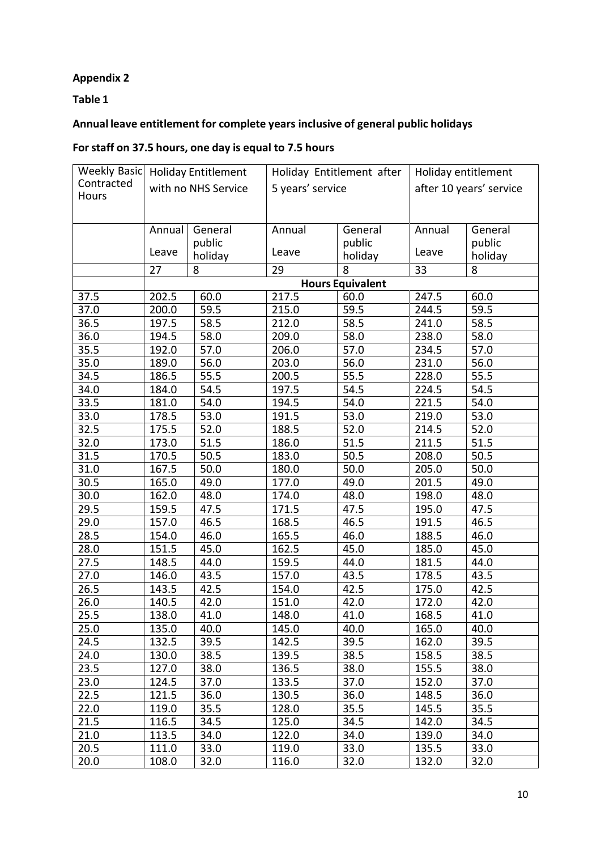# **Appendix 2**

**Table 1**

# **Annual leave entitlement for complete years inclusive of general public holidays**

# **Forstaff on 37.5 hours, one day is equal to 7.5 hours**

| Weekly Basic | <b>Holiday Entitlement</b> |         | Holiday Entitlement after |                         | Holiday entitlement     |         |  |
|--------------|----------------------------|---------|---------------------------|-------------------------|-------------------------|---------|--|
| Contracted   | with no NHS Service        |         | 5 years' service          |                         | after 10 years' service |         |  |
| Hours        |                            |         |                           |                         |                         |         |  |
|              |                            |         |                           |                         |                         |         |  |
|              | Annual                     | General | Annual                    | General                 | Annual                  | General |  |
|              |                            | public  |                           | public                  |                         | public  |  |
|              | Leave                      | holiday | Leave                     | holiday                 | Leave                   | holiday |  |
|              | 27                         | 8       | 29                        | 8                       | 33                      | 8       |  |
|              |                            |         |                           | <b>Hours Equivalent</b> |                         |         |  |
| 37.5         | 202.5                      | 60.0    | 217.5                     | 60.0                    | 247.5                   | 60.0    |  |
| 37.0         | 200.0                      | 59.5    | 215.0                     | 59.5                    | 244.5                   | 59.5    |  |
| 36.5         | 197.5                      | 58.5    | 212.0                     | 58.5                    | 241.0                   | 58.5    |  |
| 36.0         | 194.5                      | 58.0    | 209.0                     | 58.0                    | 238.0                   | 58.0    |  |
| 35.5         | 192.0                      | 57.0    | 206.0                     | 57.0                    | 234.5                   | 57.0    |  |
| 35.0         | 189.0                      | 56.0    | 203.0                     | 56.0                    | 231.0                   | 56.0    |  |
| 34.5         | 186.5                      | 55.5    | 200.5                     | 55.5                    | 228.0                   | 55.5    |  |
| 34.0         | 184.0                      | 54.5    | 197.5                     | 54.5                    | 224.5                   | 54.5    |  |
| 33.5         | 181.0                      | 54.0    | 194.5                     | 54.0                    | 221.5                   | 54.0    |  |
| 33.0         | 178.5                      | 53.0    | 191.5                     | 53.0                    | 219.0                   | 53.0    |  |
| 32.5         | 175.5                      | 52.0    | 188.5                     | 52.0                    | 214.5                   | 52.0    |  |
| 32.0         | 173.0                      | 51.5    | 186.0                     | 51.5                    | 211.5                   | 51.5    |  |
| 31.5         | 170.5                      | 50.5    | 183.0                     | 50.5                    | 208.0                   | 50.5    |  |
| 31.0         | 167.5                      | 50.0    | 180.0                     | $\overline{50.0}$       | 205.0                   | 50.0    |  |
| 30.5         | 165.0                      | 49.0    | 177.0                     | 49.0                    | 201.5                   | 49.0    |  |
| 30.0         | 162.0                      | 48.0    | 174.0                     | 48.0                    | 198.0                   | 48.0    |  |
| 29.5         | 159.5                      | 47.5    | 171.5                     | 47.5                    | 195.0                   | 47.5    |  |
| 29.0         | 157.0                      | 46.5    | 168.5                     | 46.5                    | 191.5                   | 46.5    |  |
| 28.5         | 154.0                      | 46.0    | 165.5                     | 46.0                    | 188.5                   | 46.0    |  |
| 28.0         | 151.5                      | 45.0    | 162.5                     | 45.0                    | 185.0                   | 45.0    |  |
| 27.5         | 148.5                      | 44.0    | 159.5                     | 44.0                    | 181.5                   | 44.0    |  |
| 27.0         | 146.0                      | 43.5    | 157.0                     | 43.5                    | 178.5                   | 43.5    |  |
| 26.5         | 143.5                      | 42.5    | 154.0                     | 42.5                    | 175.0                   | 42.5    |  |
| 26.0         | 140.5                      | 42.0    | 151.0                     | 42.0                    | 172.0                   | 42.0    |  |
| 25.5         | 138.0                      | 41.0    | 148.0                     | 41.0                    | 168.5                   | 41.0    |  |
| 25.0         | 135.0                      | 40.0    | 145.0                     | 40.0                    | 165.0                   | 40.0    |  |
| 24.5         | 132.5                      | 39.5    | 142.5                     | 39.5                    | 162.0                   | 39.5    |  |
| 24.0         | 130.0                      | 38.5    | 139.5                     | 38.5                    | 158.5                   | 38.5    |  |
| 23.5         | 127.0                      | 38.0    | 136.5                     | 38.0                    | 155.5                   | 38.0    |  |
| 23.0         | 124.5                      | 37.0    | 133.5                     | 37.0                    | 152.0                   | 37.0    |  |
| 22.5         | 121.5                      | 36.0    | 130.5                     | 36.0                    | 148.5                   | 36.0    |  |
| 22.0         | 119.0                      | 35.5    | 128.0                     | 35.5                    | 145.5                   | 35.5    |  |
| 21.5         | 116.5                      | 34.5    | 125.0                     | 34.5                    | 142.0                   | 34.5    |  |
| 21.0         | 113.5                      | 34.0    | 122.0                     | 34.0                    | 139.0                   | 34.0    |  |
| 20.5         | 111.0                      | 33.0    | 119.0                     | 33.0                    | 135.5                   | 33.0    |  |
| 20.0         | 108.0                      | 32.0    | 116.0                     | 32.0                    | 132.0                   | 32.0    |  |